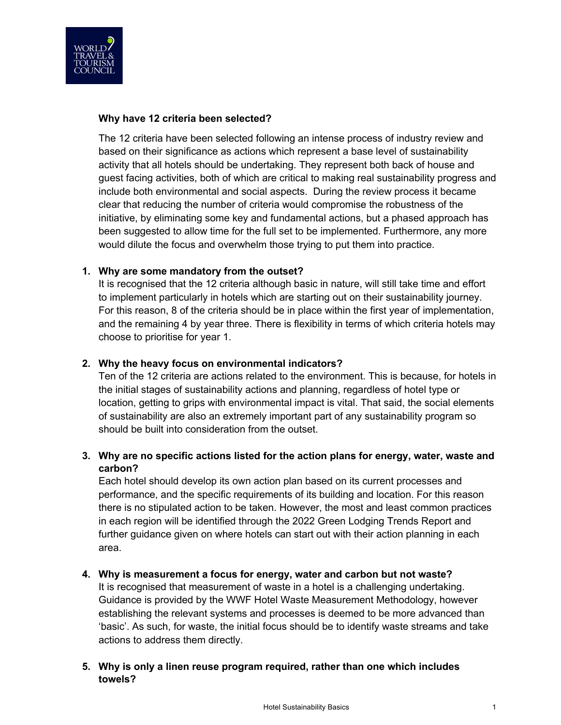

# **Why have 12 criteria been selected?**

The 12 criteria have been selected following an intense process of industry review and based on their significance as actions which represent a base level of sustainability activity that all hotels should be undertaking. They represent both back of house and guest facing activities, both of which are critical to making real sustainability progress and include both environmental and social aspects. During the review process it became clear that reducing the number of criteria would compromise the robustness of the initiative, by eliminating some key and fundamental actions, but a phased approach has been suggested to allow time for the full set to be implemented. Furthermore, any more would dilute the focus and overwhelm those trying to put them into practice.

# **1. Why are some mandatory from the outset?**

It is recognised that the 12 criteria although basic in nature, will still take time and effort to implement particularly in hotels which are starting out on their sustainability journey. For this reason, 8 of the criteria should be in place within the first year of implementation, and the remaining 4 by year three. There is flexibility in terms of which criteria hotels may choose to prioritise for year 1.

# **2. Why the heavy focus on environmental indicators?**

Ten of the 12 criteria are actions related to the environment. This is because, for hotels in the initial stages of sustainability actions and planning, regardless of hotel type or location, getting to grips with environmental impact is vital. That said, the social elements of sustainability are also an extremely important part of any sustainability program so should be built into consideration from the outset.

# **3. Why are no specific actions listed for the action plans for energy, water, waste and carbon?**

Each hotel should develop its own action plan based on its current processes and performance, and the specific requirements of its building and location. For this reason there is no stipulated action to be taken. However, the most and least common practices in each region will be identified through the 2022 Green Lodging Trends Report and further guidance given on where hotels can start out with their action planning in each area.

#### **4. Why is measurement a focus for energy, water and carbon but not waste?**

It is recognised that measurement of waste in a hotel is a challenging undertaking. Guidance is provided by the WWF Hotel Waste Measurement Methodology, however establishing the relevant systems and processes is deemed to be more advanced than 'basic'. As such, for waste, the initial focus should be to identify waste streams and take actions to address them directly.

#### **5. Why is only a linen reuse program required, rather than one which includes towels?**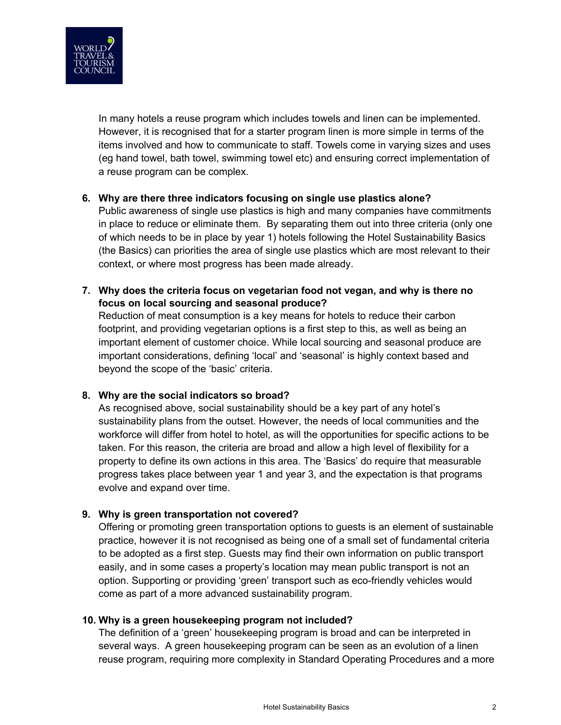

In many hotels a reuse program which includes towels and linen can be implemented. However, it is recognised that for a starter program linen is more simple in terms of the items involved and how to communicate to staff. Towels come in varying sizes and uses (eg hand towel, bath towel, swimming towel etc) and ensuring correct implementation of a reuse program can be complex.

#### **6. Why are there three indicators focusing on single use plastics alone?**

Public awareness of single use plastics is high and many companies have commitments in place to reduce or eliminate them. By separating them out into three criteria (only one of which needs to be in place by year 1) hotels following the Hotel Sustainability Basics (the Basics) can priorities the area of single use plastics which are most relevant to their context, or where most progress has been made already.

**7. Why does the criteria focus on vegetarian food not vegan, and why is there no focus on local sourcing and seasonal produce?**

Reduction of meat consumption is a key means for hotels to reduce their carbon footprint, and providing vegetarian options is a first step to this, as well as being an important element of customer choice. While local sourcing and seasonal produce are important considerations, defining 'local' and 'seasonal' is highly context based and beyond the scope of the 'basic' criteria.

#### **8. Why are the social indicators so broad?**

As recognised above, social sustainability should be a key part of any hotel's sustainability plans from the outset. However, the needs of local communities and the workforce will differ from hotel to hotel, as will the opportunities for specific actions to be taken. For this reason, the criteria are broad and allow a high level of flexibility for a property to define its own actions in this area. The 'Basics' do require that measurable progress takes place between year 1 and year 3, and the expectation is that programs evolve and expand over time.

#### **9. Why is green transportation not covered?**

Offering or promoting green transportation options to guests is an element of sustainable practice, however it is not recognised as being one of a small set of fundamental criteria to be adopted as a first step. Guests may find their own information on public transport easily, and in some cases a property's location may mean public transport is not an option. Supporting or providing 'green' transport such as eco-friendly vehicles would come as part of a more advanced sustainability program.

#### **10. Why is a green housekeeping program not included?**

The definition of a 'green' housekeeping program is broad and can be interpreted in several ways. A green housekeeping program can be seen as an evolution of a linen reuse program, requiring more complexity in Standard Operating Procedures and a more